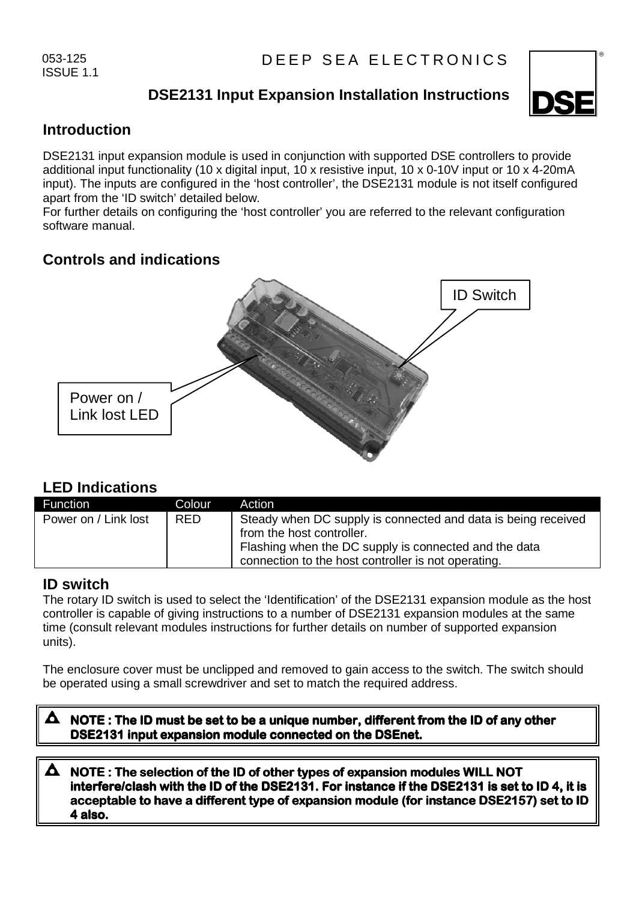053-125 ISSUE 1.1

# **DSE2131 Input Expansion Installation Instructions**



## **Introduction**

DSE2131 input expansion module is used in conjunction with supported DSE controllers to provide additional input functionality (10 x digital input, 10 x resistive input, 10 x 0-10V input or 10 x 4-20mA input). The inputs are configured in the 'host controller', the DSE2131 module is not itself configured apart from the 'ID switch' detailed below.

For further details on configuring the 'host controller' you are referred to the relevant configuration software manual.

# **Controls and indications**



## **LED Indications**

| Function             | Colour     | Action                                                                                                                                                                                                     |
|----------------------|------------|------------------------------------------------------------------------------------------------------------------------------------------------------------------------------------------------------------|
| Power on / Link lost | <b>RED</b> | Steady when DC supply is connected and data is being received<br>from the host controller.<br>Flashing when the DC supply is connected and the data<br>connection to the host controller is not operating. |

## **ID switch**

The rotary ID switch is used to select the 'Identification' of the DSE2131 expansion module as the host controller is capable of giving instructions to a number of DSE2131 expansion modules at the same time (consult relevant modules instructions for further details on number of supported expansion units).

The enclosure cover must be unclipped and removed to gain access to the switch. The switch should be operated using a small screwdriver and set to match the required address.

**NOTE : The ID must be set to be a unique number, different from the ID of any other DSE2131 input expansion module connected on the DSEnet.** 

### **NOTE : The selection of the ID of other types of expansion modules WILL NOT interfere/clash with the ID of the DSE2131. For instance if the DSE2131 is set to ID 4, it is acceptable to have a different type of expansion module (for instance DSE2157) set to ID 4also.**